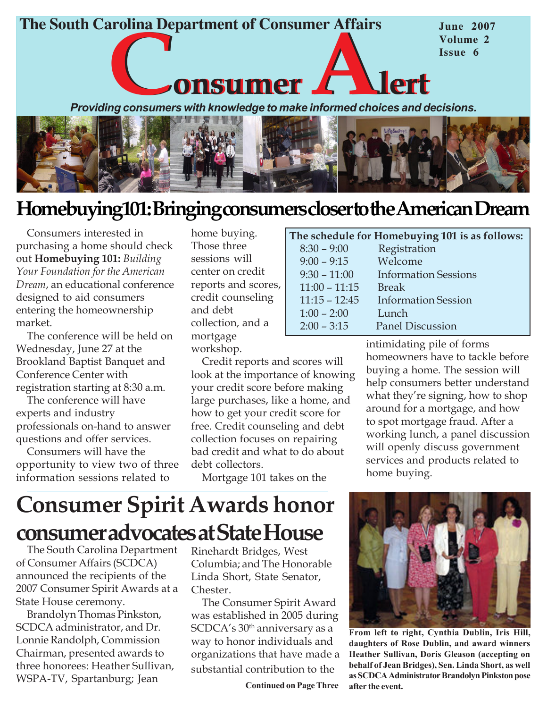



## Homebuying101: Bringing consumers closer to the American Dream

Consumers interested in purchasing a home should check out Homebuying 101: Building Your Foundation for the American Dream, an educational conference designed to aid consumers entering the homeownership market.

The conference will be held on Wednesday, June 27 at the Brookland Baptist Banquet and Conference Center with registration starting at 8:30 a.m.

The conference will have experts and industry professionals on-hand to answer questions and offer services.

Consumers will have the opportunity to view two of three information sessions related to

home buying. Those three sessions will center on credit reports and scores, credit counseling and debt collection, and a mortgage workshop.

Credit reports and scores will look at the importance of knowing your credit score before making large purchases, like a home, and how to get your credit score for free. Credit counseling and debt collection focuses on repairing bad credit and what to do about debt collectors.

Mortgage 101 takes on the

|                 | The schedule for Homebuying 101 is as follows: |
|-----------------|------------------------------------------------|
| $8:30 - 9:00$   | Registration                                   |
| $9:00 - 9:15$   | Welcome                                        |
| $9:30 - 11:00$  | <b>Information Sessions</b>                    |
| $11:00 - 11:15$ | <b>Break</b>                                   |
| $11:15 - 12:45$ | <b>Information Session</b>                     |
| $1:00 - 2:00$   | Lunch                                          |
| $2:00 - 3:15$   | <b>Panel Discussion</b>                        |
|                 |                                                |

intimidating pile of forms homeowners have to tackle before buying a home. The session will help consumers better understand what they're signing, how to shop around for a mortgage, and how to spot mortgage fraud. After a working lunch, a panel discussion will openly discuss government services and products related to home buying.

# Consumer Spirit Awards honor consumer advocates at State House

The South Carolina Department of Consumer Affairs (SCDCA) announced the recipients of the 2007 Consumer Spirit Awards at a State House ceremony.

Brandolyn Thomas Pinkston, SCDCA administrator, and Dr. Lonnie Randolph, Commission Chairman, presented awards to three honorees: Heather Sullivan, WSPA-TV, Spartanburg; Jean

Rinehardt Bridges, West Columbia; and The Honorable Linda Short, State Senator, Chester.

The Consumer Spirit Award was established in 2005 during SCDCA's 30<sup>th</sup> anniversary as a way to honor individuals and organizations that have made a substantial contribution to the

Continued on Page Three



From left to right, Cynthia Dublin, Iris Hill, daughters of Rose Dublin, and award winners Heather Sullivan, Doris Gleason (accepting on behalf of Jean Bridges), Sen. Linda Short, as well as SCDCA Administrator Brandolyn Pinkston pose after the event.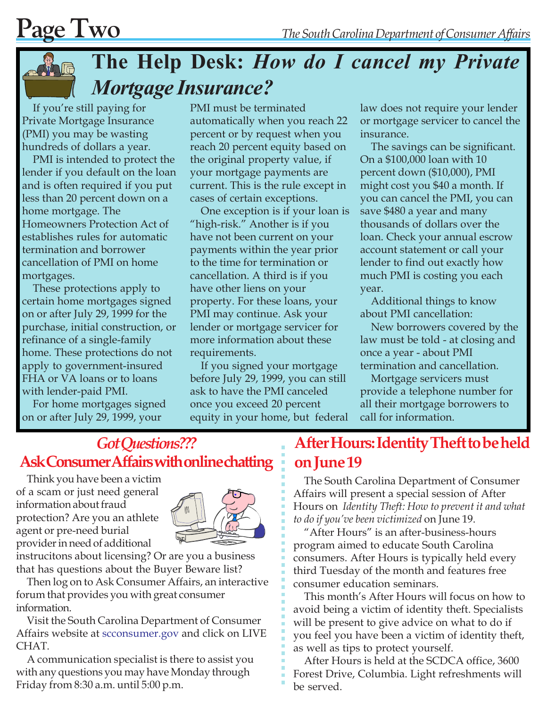

# The Help Desk: How do I cancel my Private Mortgage Insurance?

If you're still paying for Private Mortgage Insurance (PMI) you may be wasting hundreds of dollars a year.

PMI is intended to protect the lender if you default on the loan and is often required if you put less than 20 percent down on a home mortgage. The Homeowners Protection Act of establishes rules for automatic termination and borrower cancellation of PMI on home mortgages.

These protections apply to certain home mortgages signed on or after July 29, 1999 for the purchase, initial construction, or refinance of a single-family home. These protections do not apply to government-insured FHA or VA loans or to loans with lender-paid PMI.

For home mortgages signed on or after July 29, 1999, your

PMI must be terminated automatically when you reach 22 percent or by request when you reach 20 percent equity based on the original property value, if your mortgage payments are current. This is the rule except in cases of certain exceptions.

One exception is if your loan is "high-risk." Another is if you have not been current on your payments within the year prior to the time for termination or cancellation. A third is if you have other liens on your property. For these loans, your PMI may continue. Ask your lender or mortgage servicer for more information about these requirements.

If you signed your mortgage before July 29, 1999, you can still ask to have the PMI canceled once you exceed 20 percent equity in your home, but federal law does not require your lender or mortgage servicer to cancel the insurance.

The savings can be significant. On a \$100,000 loan with 10 percent down (\$10,000), PMI might cost you \$40 a month. If you can cancel the PMI, you can save \$480 a year and many thousands of dollars over the loan. Check your annual escrow account statement or call your lender to find out exactly how much PMI is costing you each year.

Additional things to know about PMI cancellation:

New borrowers covered by the law must be told - at closing and once a year - about PMI termination and cancellation.

Mortgage servicers must provide a telephone number for all their mortgage borrowers to call for information.

## Got Questions??? Ask Consumer Affairs with online chatting

Think you have been a victim of a scam or just need general information about fraud protection? Are you an athlete agent or pre-need burial provider in need of additional



instrucitons about licensing? Or are you a business that has questions about the Buyer Beware list?

Then log on to Ask Consumer Affairs, an interactive forum that provides you with great consumer information.

Visit the South Carolina Department of Consumer Affairs website at scconsumer.gov and click on LIVE CHAT.

A communication specialist is there to assist you with any questions you may have Monday through Friday from 8:30 a.m. until 5:00 p.m.

### After Hours: Identity Theft to be held on June 19

The South Carolina Department of Consumer Affairs will present a special session of After Hours on Identity Theft: How to prevent it and what to do if you've been victimized on June 19.

"After Hours" is an after-business-hours program aimed to educate South Carolina consumers. After Hours is typically held every third Tuesday of the month and features free consumer education seminars.

This month's After Hours will focus on how to avoid being a victim of identity theft. Specialists will be present to give advice on what to do if you feel you have been a victim of identity theft, as well as tips to protect yourself.

After Hours is held at the SCDCA office, 3600 Forest Drive, Columbia. Light refreshments will be served.